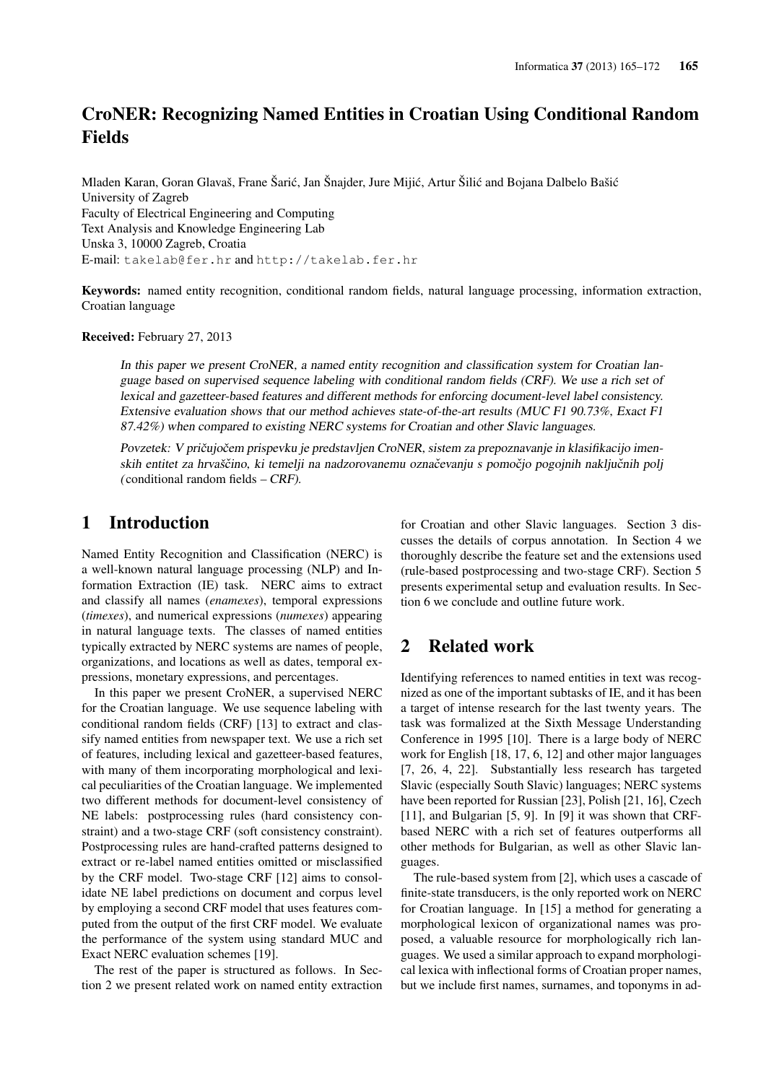# CroNER: Recognizing Named Entities in Croatian Using Conditional Random Fields

Mladen Karan, Goran Glavaš, Frane Šarić, Jan Šnajder, Jure Mijić, Artur Šilić and Bojana Dalbelo Bašić University of Zagreb Faculty of Electrical Engineering and Computing Text Analysis and Knowledge Engineering Lab Unska 3, 10000 Zagreb, Croatia E-mail: takelab@fer.hr and http://takelab.fer.hr

Keywords: named entity recognition, conditional random fields, natural language processing, information extraction, Croatian language

Received: February 27, 2013

In this paper we present CroNER, a named entity recognition and classification system for Croatian language based on supervised sequence labeling with conditional random fields (CRF). We use a rich set of lexical and gazetteer-based features and different methods for enforcing document-level label consistency. Extensive evaluation shows that our method achieves state-of-the-art results (MUC F1 90.73%, Exact F1 87.42%) when compared to existing NERC systems for Croatian and other Slavic languages.

Povzetek: V pričujočem prispevku je predstavljen CroNER, sistem za prepoznavanje in klasifikacijo imenskih entitet za hrvaščino, ki temelji na nadzorovanemu označevanju s pomočjo pogojnih naključnih polj ( conditional random fields  $-$  CRF).

## 1 Introduction

Named Entity Recognition and Classification (NERC) is a well-known natural language processing (NLP) and Information Extraction (IE) task. NERC aims to extract and classify all names (*enamexes*), temporal expressions (*timexes*), and numerical expressions (*numexes*) appearing in natural language texts. The classes of named entities typically extracted by NERC systems are names of people, organizations, and locations as well as dates, temporal expressions, monetary expressions, and percentages.

In this paper we present CroNER, a supervised NERC for the Croatian language. We use sequence labeling with conditional random fields (CRF) [13] to extract and classify named entities from newspaper text. We use a rich set of features, including lexical and gazetteer-based features, with many of them incorporating morphological and lexical peculiarities of the Croatian language. We implemented two different methods for document-level consistency of NE labels: postprocessing rules (hard consistency constraint) and a two-stage CRF (soft consistency constraint). Postprocessing rules are hand-crafted patterns designed to extract or re-label named entities omitted or misclassified by the CRF model. Two-stage CRF [12] aims to consolidate NE label predictions on document and corpus level by employing a second CRF model that uses features computed from the output of the first CRF model. We evaluate the performance of the system using standard MUC and Exact NERC evaluation schemes [19].

The rest of the paper is structured as follows. In Section 2 we present related work on named entity extraction for Croatian and other Slavic languages. Section 3 discusses the details of corpus annotation. In Section 4 we thoroughly describe the feature set and the extensions used (rule-based postprocessing and two-stage CRF). Section 5 presents experimental setup and evaluation results. In Section 6 we conclude and outline future work.

## 2 Related work

Identifying references to named entities in text was recognized as one of the important subtasks of IE, and it has been a target of intense research for the last twenty years. The task was formalized at the Sixth Message Understanding Conference in 1995 [10]. There is a large body of NERC work for English [18, 17, 6, 12] and other major languages [7, 26, 4, 22]. Substantially less research has targeted Slavic (especially South Slavic) languages; NERC systems have been reported for Russian [23], Polish [21, 16], Czech [11], and Bulgarian [5, 9]. In [9] it was shown that CRFbased NERC with a rich set of features outperforms all other methods for Bulgarian, as well as other Slavic languages.

The rule-based system from [2], which uses a cascade of finite-state transducers, is the only reported work on NERC for Croatian language. In [15] a method for generating a morphological lexicon of organizational names was proposed, a valuable resource for morphologically rich languages. We used a similar approach to expand morphological lexica with inflectional forms of Croatian proper names, but we include first names, surnames, and toponyms in ad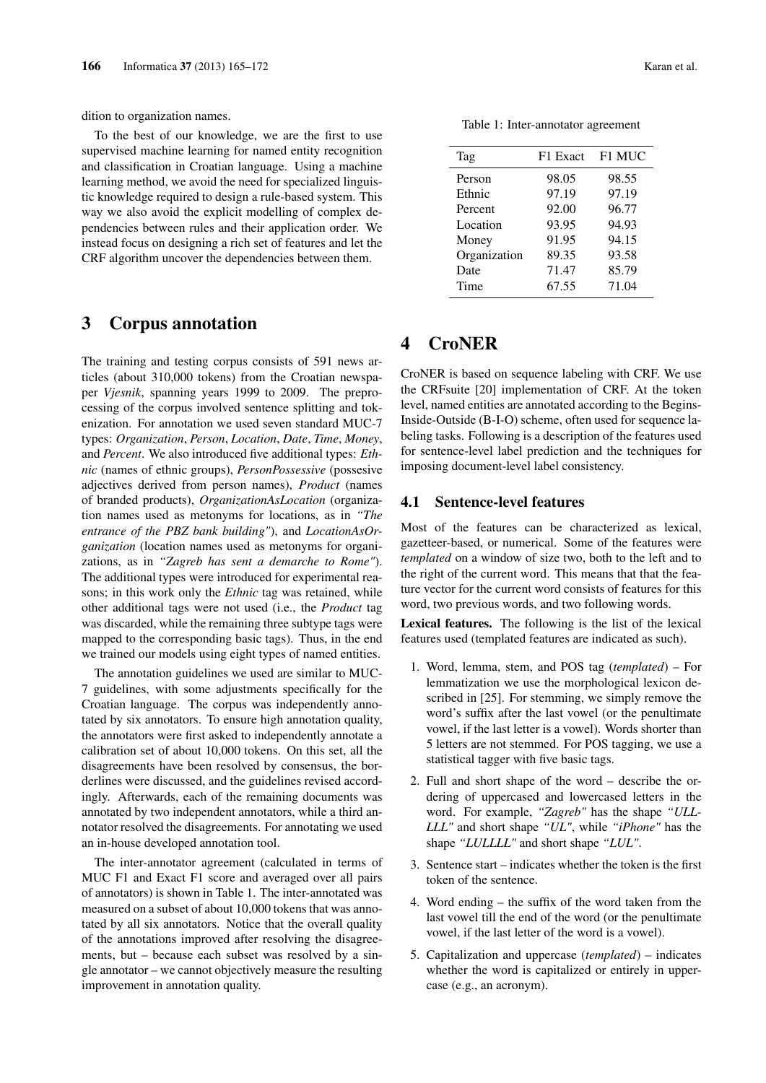dition to organization names.

To the best of our knowledge, we are the first to use supervised machine learning for named entity recognition and classification in Croatian language. Using a machine learning method, we avoid the need for specialized linguistic knowledge required to design a rule-based system. This way we also avoid the explicit modelling of complex dependencies between rules and their application order. We instead focus on designing a rich set of features and let the CRF algorithm uncover the dependencies between them.

### 3 Corpus annotation

The training and testing corpus consists of 591 news articles (about 310,000 tokens) from the Croatian newspaper *Vjesnik*, spanning years 1999 to 2009. The preprocessing of the corpus involved sentence splitting and tokenization. For annotation we used seven standard MUC-7 types: *Organization*, *Person*, *Location*, *Date*, *Time*, *Money*, and *Percent*. We also introduced five additional types: *Ethnic* (names of ethnic groups), *PersonPossessive* (possesive adjectives derived from person names), *Product* (names of branded products), *OrganizationAsLocation* (organization names used as metonyms for locations, as in *"The entrance of the PBZ bank building"*), and *LocationAsOrganization* (location names used as metonyms for organizations, as in *"Zagreb has sent a demarche to Rome"*). The additional types were introduced for experimental reasons; in this work only the *Ethnic* tag was retained, while other additional tags were not used (i.e., the *Product* tag was discarded, while the remaining three subtype tags were mapped to the corresponding basic tags). Thus, in the end we trained our models using eight types of named entities.

The annotation guidelines we used are similar to MUC-7 guidelines, with some adjustments specifically for the Croatian language. The corpus was independently annotated by six annotators. To ensure high annotation quality, the annotators were first asked to independently annotate a calibration set of about 10,000 tokens. On this set, all the disagreements have been resolved by consensus, the borderlines were discussed, and the guidelines revised accordingly. Afterwards, each of the remaining documents was annotated by two independent annotators, while a third annotator resolved the disagreements. For annotating we used an in-house developed annotation tool.

The inter-annotator agreement (calculated in terms of MUC F1 and Exact F1 score and averaged over all pairs of annotators) is shown in Table 1. The inter-annotated was measured on a subset of about 10,000 tokens that was annotated by all six annotators. Notice that the overall quality of the annotations improved after resolving the disagreements, but – because each subset was resolved by a single annotator – we cannot objectively measure the resulting improvement in annotation quality.

| Tag          | F1 Exact | F1 MUC |
|--------------|----------|--------|
| Person       | 98.05    | 98.55  |
| Ethnic       | 97.19    | 97.19  |
| Percent      | 92.00    | 96.77  |
| Location     | 93.95    | 94.93  |
| Money        | 91.95    | 94.15  |
| Organization | 89.35    | 93.58  |
| Date         | 71.47    | 85.79  |
| Time         | 67.55    | 71.04  |

Table 1: Inter-annotator agreement

## 4 CroNER

CroNER is based on sequence labeling with CRF. We use the CRFsuite [20] implementation of CRF. At the token level, named entities are annotated according to the Begins-Inside-Outside (B-I-O) scheme, often used for sequence labeling tasks. Following is a description of the features used for sentence-level label prediction and the techniques for imposing document-level label consistency.

### 4.1 Sentence-level features

Most of the features can be characterized as lexical, gazetteer-based, or numerical. Some of the features were *templated* on a window of size two, both to the left and to the right of the current word. This means that that the feature vector for the current word consists of features for this word, two previous words, and two following words.

Lexical features. The following is the list of the lexical features used (templated features are indicated as such).

- 1. Word, lemma, stem, and POS tag (*templated*) For lemmatization we use the morphological lexicon described in [25]. For stemming, we simply remove the word's suffix after the last vowel (or the penultimate vowel, if the last letter is a vowel). Words shorter than 5 letters are not stemmed. For POS tagging, we use a statistical tagger with five basic tags.
- 2. Full and short shape of the word describe the ordering of uppercased and lowercased letters in the word. For example, *"Zagreb"* has the shape *"ULL-LLL"* and short shape *"UL"*, while *"iPhone"* has the shape *"LULLLL"* and short shape *"LUL"*.
- 3. Sentence start indicates whether the token is the first token of the sentence.
- 4. Word ending the suffix of the word taken from the last vowel till the end of the word (or the penultimate vowel, if the last letter of the word is a vowel).
- 5. Capitalization and uppercase (*templated*) indicates whether the word is capitalized or entirely in uppercase (e.g., an acronym).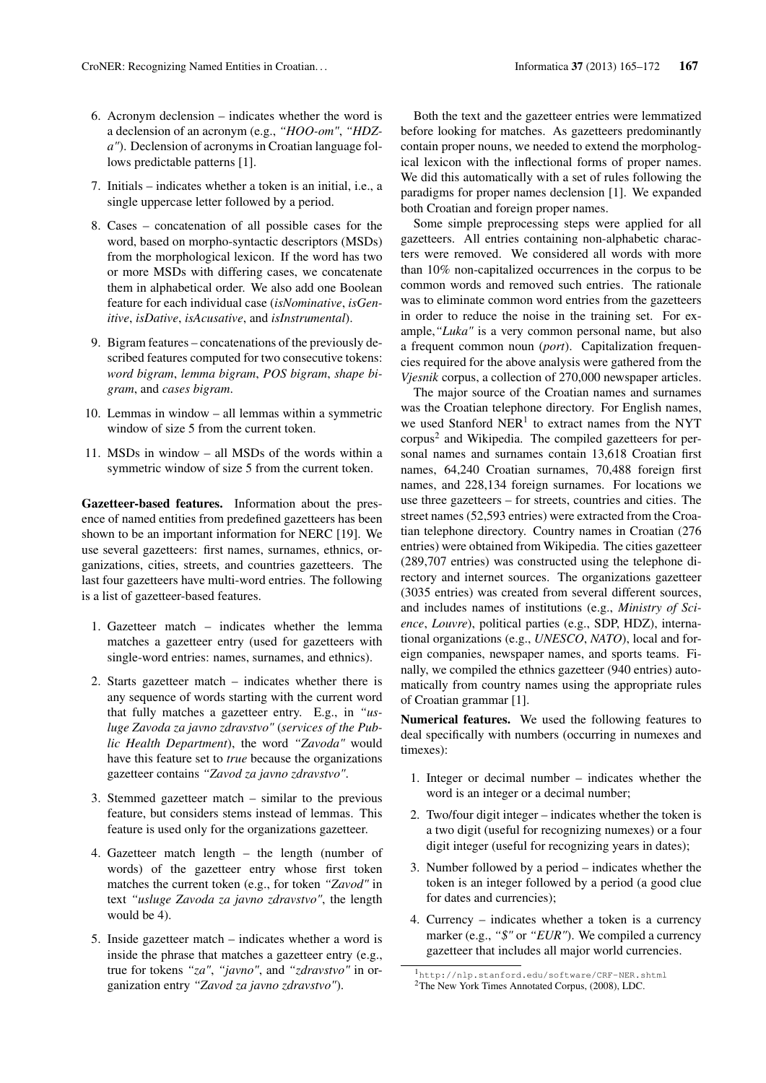- 6. Acronym declension indicates whether the word is a declension of an acronym (e.g., *"HOO-om"*, *"HDZa"*). Declension of acronyms in Croatian language follows predictable patterns [1].
- 7. Initials indicates whether a token is an initial, i.e., a single uppercase letter followed by a period.
- 8. Cases concatenation of all possible cases for the word, based on morpho-syntactic descriptors (MSDs) from the morphological lexicon. If the word has two or more MSDs with differing cases, we concatenate them in alphabetical order. We also add one Boolean feature for each individual case (*isNominative*, *isGenitive*, *isDative*, *isAcusative*, and *isInstrumental*).
- 9. Bigram features concatenations of the previously described features computed for two consecutive tokens: *word bigram*, *lemma bigram*, *POS bigram*, *shape bigram*, and *cases bigram*.
- 10. Lemmas in window all lemmas within a symmetric window of size 5 from the current token.
- 11. MSDs in window all MSDs of the words within a symmetric window of size 5 from the current token.

Gazetteer-based features. Information about the presence of named entities from predefined gazetteers has been shown to be an important information for NERC [19]. We use several gazetteers: first names, surnames, ethnics, organizations, cities, streets, and countries gazetteers. The last four gazetteers have multi-word entries. The following is a list of gazetteer-based features.

- 1. Gazetteer match indicates whether the lemma matches a gazetteer entry (used for gazetteers with single-word entries: names, surnames, and ethnics).
- 2. Starts gazetteer match indicates whether there is any sequence of words starting with the current word that fully matches a gazetteer entry. E.g., in *"usluge Zavoda za javno zdravstvo"* (*services of the Public Health Department*), the word *"Zavoda"* would have this feature set to *true* because the organizations gazetteer contains *"Zavod za javno zdravstvo"*.
- 3. Stemmed gazetteer match similar to the previous feature, but considers stems instead of lemmas. This feature is used only for the organizations gazetteer.
- 4. Gazetteer match length the length (number of words) of the gazetteer entry whose first token matches the current token (e.g., for token *"Zavod"* in text *"usluge Zavoda za javno zdravstvo"*, the length would be 4).
- 5. Inside gazetteer match indicates whether a word is inside the phrase that matches a gazetteer entry (e.g., true for tokens *"za"*, *"javno"*, and *"zdravstvo"* in organization entry *"Zavod za javno zdravstvo"*).

Both the text and the gazetteer entries were lemmatized before looking for matches. As gazetteers predominantly contain proper nouns, we needed to extend the morphological lexicon with the inflectional forms of proper names. We did this automatically with a set of rules following the paradigms for proper names declension [1]. We expanded both Croatian and foreign proper names.

Some simple preprocessing steps were applied for all gazetteers. All entries containing non-alphabetic characters were removed. We considered all words with more than 10% non-capitalized occurrences in the corpus to be common words and removed such entries. The rationale was to eliminate common word entries from the gazetteers in order to reduce the noise in the training set. For example,*"Luka"* is a very common personal name, but also a frequent common noun (*port*). Capitalization frequencies required for the above analysis were gathered from the *Vjesnik* corpus, a collection of 270,000 newspaper articles.

The major source of the Croatian names and surnames was the Croatian telephone directory. For English names, we used Stanford  $NER<sup>1</sup>$  to extract names from the NYT corpus<sup>2</sup> and Wikipedia. The compiled gazetteers for personal names and surnames contain 13,618 Croatian first names, 64,240 Croatian surnames, 70,488 foreign first names, and 228,134 foreign surnames. For locations we use three gazetteers – for streets, countries and cities. The street names (52,593 entries) were extracted from the Croatian telephone directory. Country names in Croatian (276 entries) were obtained from Wikipedia. The cities gazetteer (289,707 entries) was constructed using the telephone directory and internet sources. The organizations gazetteer (3035 entries) was created from several different sources, and includes names of institutions (e.g., *Ministry of Science*, *Louvre*), political parties (e.g., SDP, HDZ), international organizations (e.g., *UNESCO*, *NATO*), local and foreign companies, newspaper names, and sports teams. Finally, we compiled the ethnics gazetteer (940 entries) automatically from country names using the appropriate rules of Croatian grammar [1].

Numerical features. We used the following features to deal specifically with numbers (occurring in numexes and timexes):

- 1. Integer or decimal number indicates whether the word is an integer or a decimal number;
- 2. Two/four digit integer indicates whether the token is a two digit (useful for recognizing numexes) or a four digit integer (useful for recognizing years in dates);
- 3. Number followed by a period indicates whether the token is an integer followed by a period (a good clue for dates and currencies);
- 4. Currency indicates whether a token is a currency marker (e.g., *"\$"* or *"EUR"*). We compiled a currency gazetteer that includes all major world currencies.

<sup>1</sup>http://nlp.stanford.edu/software/CRF-NER.shtml <sup>2</sup>The New York Times Annotated Corpus, (2008), LDC.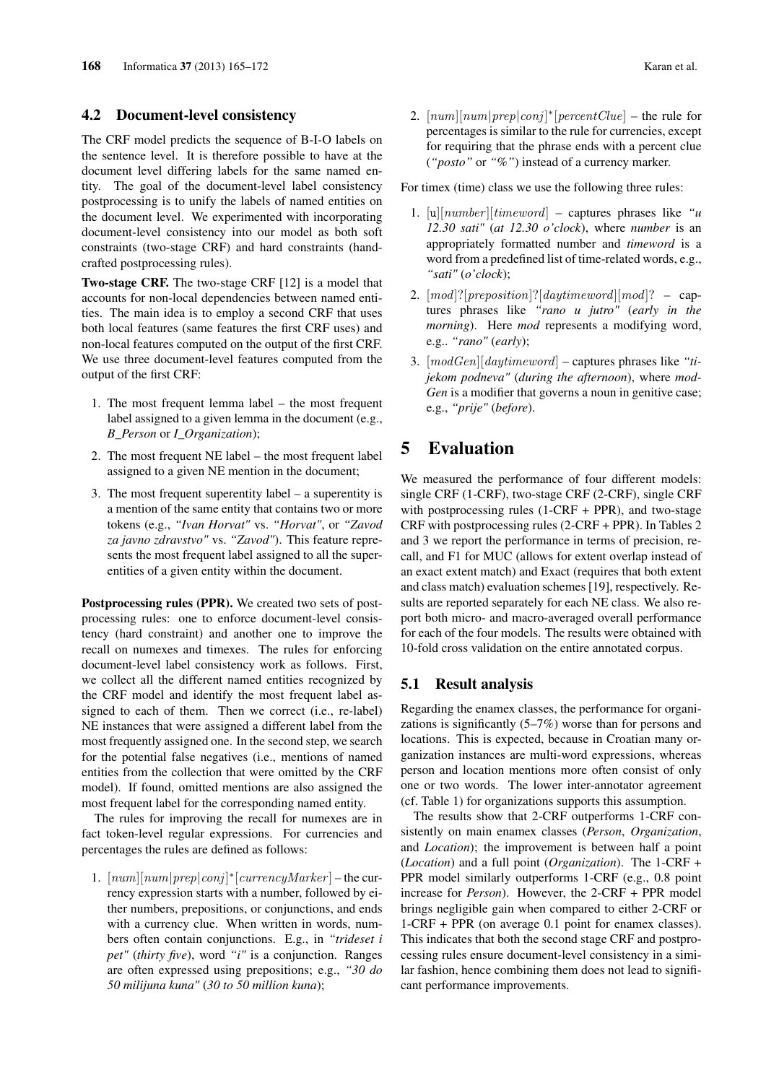### 4.2 Document-level consistency

The CRF model predicts the sequence of B-I-O labels on the sentence level. It is therefore possible to have at the document level differing labels for the same named entity. The goal of the document-level label consistency postprocessing is to unify the labels of named entities on the document level. We experimented with incorporating document-level consistency into our model as both soft constraints (two-stage CRF) and hard constraints (handcrafted postprocessing rules).

Two-stage CRF. The two-stage CRF [12] is a model that accounts for non-local dependencies between named entities. The main idea is to employ a second CRF that uses both local features (same features the first CRF uses) and non-local features computed on the output of the first CRF. We use three document-level features computed from the output of the first CRF:

- 1. The most frequent lemma label the most frequent label assigned to a given lemma in the document (e.g., *B\_Person* or *I\_Organization*);
- 2. The most frequent NE label the most frequent label assigned to a given NE mention in the document;
- 3. The most frequent superentity label a superentity is a mention of the same entity that contains two or more tokens (e.g., *"Ivan Horvat"* vs. *"Horvat"*, or *"Zavod za javno zdravstvo"* vs. *"Zavod"*). This feature represents the most frequent label assigned to all the superentities of a given entity within the document.

Postprocessing rules (PPR). We created two sets of postprocessing rules: one to enforce document-level consistency (hard constraint) and another one to improve the recall on numexes and timexes. The rules for enforcing document-level label consistency work as follows. First, we collect all the different named entities recognized by the CRF model and identify the most frequent label assigned to each of them. Then we correct (i.e., re-label) NE instances that were assigned a different label from the most frequently assigned one. In the second step, we search for the potential false negatives (i.e., mentions of named entities from the collection that were omitted by the CRF model). If found, omitted mentions are also assigned the most frequent label for the corresponding named entity.

The rules for improving the recall for numexes are in fact token-level regular expressions. For currencies and percentages the rules are defined as follows:

1.  $[num][num|prep|conj]^*[currencyMarket] - the cur$ rency expression starts with a number, followed by either numbers, prepositions, or conjunctions, and ends with a currency clue. When written in words, numbers often contain conjunctions. E.g., in *"trideset i pet"* (*thirty five*), word *"i"* is a conjunction. Ranges are often expressed using prepositions; e.g., *"30 do 50 milijuna kuna"* (*30 to 50 million kuna*);

2.  $[num][num|prep|conj]^*[percentClue]$  – the rule for percentages is similar to the rule for currencies, except for requiring that the phrase ends with a percent clue (*"posto"* or *"%"*) instead of a currency marker.

For timex (time) class we use the following three rules:

- 1. [u][number ][timeword] captures phrases like *"u 12.30 sati"* (*at 12.30 o'clock*), where *number* is an appropriately formatted number and *timeword* is a word from a predefined list of time-related words, e.g., *"sati"* (*o'clock*);
- 2. [mod]?[preposition]?[daytimeword][mod]? captures phrases like *"rano u jutro"* (*early in the morning*). Here *mod* represents a modifying word, e.g.. *"rano"* (*early*);
- 3. [modGen][daytimeword] captures phrases like *"tijekom podneva"* (*during the afternoon*), where *mod-Gen* is a modifier that governs a noun in genitive case; e.g., *"prije"* (*before*).

# 5 Evaluation

We measured the performance of four different models: single CRF (1-CRF), two-stage CRF (2-CRF), single CRF with postprocessing rules  $(1-CRF + PPR)$ , and two-stage CRF with postprocessing rules (2-CRF + PPR). In Tables 2 and 3 we report the performance in terms of precision, recall, and F1 for MUC (allows for extent overlap instead of an exact extent match) and Exact (requires that both extent and class match) evaluation schemes [19], respectively. Results are reported separately for each NE class. We also report both micro- and macro-averaged overall performance for each of the four models. The results were obtained with 10-fold cross validation on the entire annotated corpus.

#### 5.1 Result analysis

Regarding the enamex classes, the performance for organizations is significantly (5–7%) worse than for persons and locations. This is expected, because in Croatian many organization instances are multi-word expressions, whereas person and location mentions more often consist of only one or two words. The lower inter-annotator agreement (cf. Table 1) for organizations supports this assumption.

The results show that 2-CRF outperforms 1-CRF consistently on main enamex classes (*Person*, *Organization*, and *Location*); the improvement is between half a point (*Location*) and a full point (*Organization*). The 1-CRF + PPR model similarly outperforms 1-CRF (e.g., 0.8 point increase for *Person*). However, the 2-CRF + PPR model brings negligible gain when compared to either 2-CRF or 1-CRF + PPR (on average 0.1 point for enamex classes). This indicates that both the second stage CRF and postprocessing rules ensure document-level consistency in a similar fashion, hence combining them does not lead to significant performance improvements.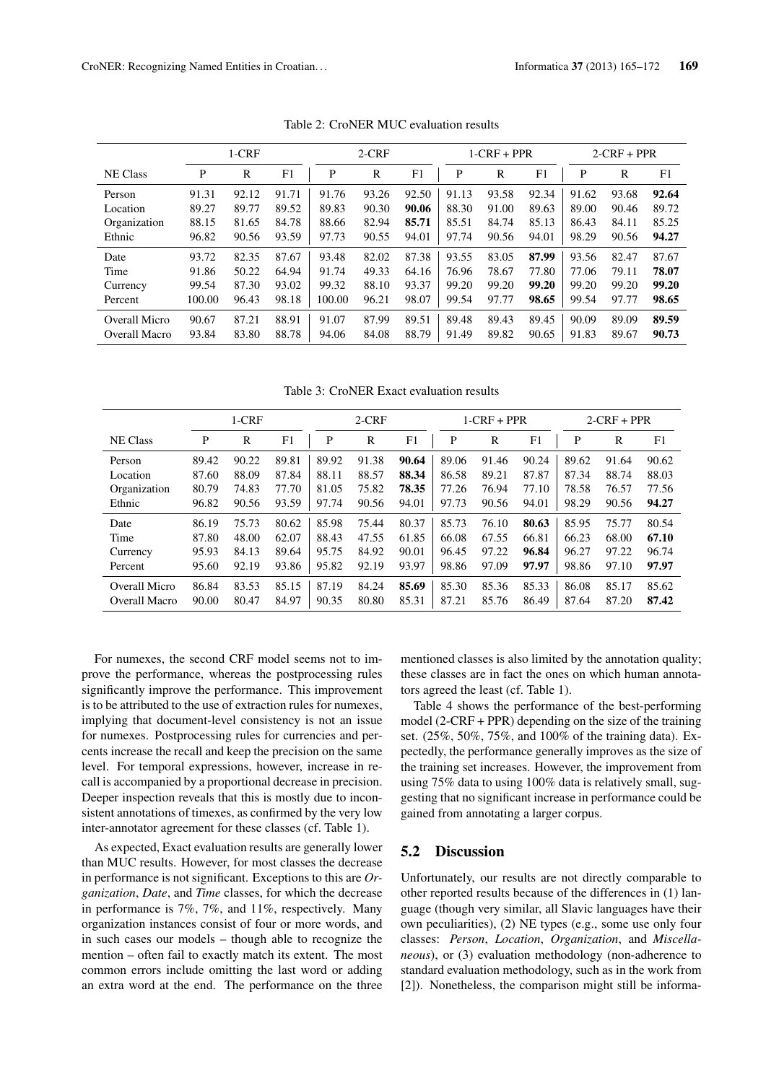|                 | $1-CRF$ |       |       | $2-CRF$ |       |       |       | $1-CRF + PPR$ |       | $2-CRF + PPR$ |       |       |
|-----------------|---------|-------|-------|---------|-------|-------|-------|---------------|-------|---------------|-------|-------|
| <b>NE Class</b> | P       | R     | F1    | P       | R     | F1    | P     | R             | F1    | P             | R     | F1    |
| Person          | 91.31   | 92.12 | 91.71 | 91.76   | 93.26 | 92.50 | 91.13 | 93.58         | 92.34 | 91.62         | 93.68 | 92.64 |
| Location        | 89.27   | 89.77 | 89.52 | 89.83   | 90.30 | 90.06 | 88.30 | 91.00         | 89.63 | 89.00         | 90.46 | 89.72 |
| Organization    | 88.15   | 81.65 | 84.78 | 88.66   | 82.94 | 85.71 | 85.51 | 84.74         | 85.13 | 86.43         | 84.11 | 85.25 |
| Ethnic          | 96.82   | 90.56 | 93.59 | 97.73   | 90.55 | 94.01 | 97.74 | 90.56         | 94.01 | 98.29         | 90.56 | 94.27 |
| Date            | 93.72   | 82.35 | 87.67 | 93.48   | 82.02 | 87.38 | 93.55 | 83.05         | 87.99 | 93.56         | 82.47 | 87.67 |
| Time            | 91.86   | 50.22 | 64.94 | 91.74   | 49.33 | 64.16 | 76.96 | 78.67         | 77.80 | 77.06         | 79.11 | 78.07 |
| Currency        | 99.54   | 87.30 | 93.02 | 99.32   | 88.10 | 93.37 | 99.20 | 99.20         | 99.20 | 99.20         | 99.20 | 99.20 |
| Percent         | 100.00  | 96.43 | 98.18 | 100.00  | 96.21 | 98.07 | 99.54 | 97.77         | 98.65 | 99.54         | 97.77 | 98.65 |
| Overall Micro   | 90.67   | 87.21 | 88.91 | 91.07   | 87.99 | 89.51 | 89.48 | 89.43         | 89.45 | 90.09         | 89.09 | 89.59 |
| Overall Macro   | 93.84   | 83.80 | 88.78 | 94.06   | 84.08 | 88.79 | 91.49 | 89.82         | 90.65 | 91.83         | 89.67 | 90.73 |

Table 2: CroNER MUC evaluation results

Table 3: CroNER Exact evaluation results

|                 | $1-CRF$<br>$2-CRF$ |       |       |       |       | $1-CRF + PPR$ |       | $2-CRF + PPR$ |       |       |       |       |
|-----------------|--------------------|-------|-------|-------|-------|---------------|-------|---------------|-------|-------|-------|-------|
| <b>NE Class</b> | P                  | R     | F1    | P     | R     | F1            | P     | R             | F1    | P     | R     | F1    |
| Person          | 89.42              | 90.22 | 89.81 | 89.92 | 91.38 | 90.64         | 89.06 | 91.46         | 90.24 | 89.62 | 91.64 | 90.62 |
| Location        | 87.60              | 88.09 | 87.84 | 88.11 | 88.57 | 88.34         | 86.58 | 89.21         | 87.87 | 87.34 | 88.74 | 88.03 |
| Organization    | 80.79              | 74.83 | 77.70 | 81.05 | 75.82 | 78.35         | 77.26 | 76.94         | 77.10 | 78.58 | 76.57 | 77.56 |
| Ethnic          | 96.82              | 90.56 | 93.59 | 97.74 | 90.56 | 94.01         | 97.73 | 90.56         | 94.01 | 98.29 | 90.56 | 94.27 |
| Date            | 86.19              | 75.73 | 80.62 | 85.98 | 75.44 | 80.37         | 85.73 | 76.10         | 80.63 | 85.95 | 75.77 | 80.54 |
| Time            | 87.80              | 48.00 | 62.07 | 88.43 | 47.55 | 61.85         | 66.08 | 67.55         | 66.81 | 66.23 | 68.00 | 67.10 |
| Currency        | 95.93              | 84.13 | 89.64 | 95.75 | 84.92 | 90.01         | 96.45 | 97.22         | 96.84 | 96.27 | 97.22 | 96.74 |
| Percent         | 95.60              | 92.19 | 93.86 | 95.82 | 92.19 | 93.97         | 98.86 | 97.09         | 97.97 | 98.86 | 97.10 | 97.97 |
| Overall Micro   | 86.84              | 83.53 | 85.15 | 87.19 | 84.24 | 85.69         | 85.30 | 85.36         | 85.33 | 86.08 | 85.17 | 85.62 |
| Overall Macro   | 90.00              | 80.47 | 84.97 | 90.35 | 80.80 | 85.31         | 87.21 | 85.76         | 86.49 | 87.64 | 87.20 | 87.42 |

For numexes, the second CRF model seems not to improve the performance, whereas the postprocessing rules significantly improve the performance. This improvement is to be attributed to the use of extraction rules for numexes, implying that document-level consistency is not an issue for numexes. Postprocessing rules for currencies and percents increase the recall and keep the precision on the same level. For temporal expressions, however, increase in recall is accompanied by a proportional decrease in precision. Deeper inspection reveals that this is mostly due to inconsistent annotations of timexes, as confirmed by the very low inter-annotator agreement for these classes (cf. Table 1).

As expected, Exact evaluation results are generally lower than MUC results. However, for most classes the decrease in performance is not significant. Exceptions to this are *Organization*, *Date*, and *Time* classes, for which the decrease in performance is 7%, 7%, and 11%, respectively. Many organization instances consist of four or more words, and in such cases our models – though able to recognize the mention – often fail to exactly match its extent. The most common errors include omitting the last word or adding an extra word at the end. The performance on the three mentioned classes is also limited by the annotation quality; these classes are in fact the ones on which human annotators agreed the least (cf. Table 1).

Table 4 shows the performance of the best-performing model (2-CRF + PPR) depending on the size of the training set. (25%, 50%, 75%, and 100% of the training data). Expectedly, the performance generally improves as the size of the training set increases. However, the improvement from using 75% data to using 100% data is relatively small, suggesting that no significant increase in performance could be gained from annotating a larger corpus.

### 5.2 Discussion

Unfortunately, our results are not directly comparable to other reported results because of the differences in (1) language (though very similar, all Slavic languages have their own peculiarities), (2) NE types (e.g., some use only four classes: *Person*, *Location*, *Organization*, and *Miscellaneous*), or (3) evaluation methodology (non-adherence to standard evaluation methodology, such as in the work from [2]). Nonetheless, the comparison might still be informa-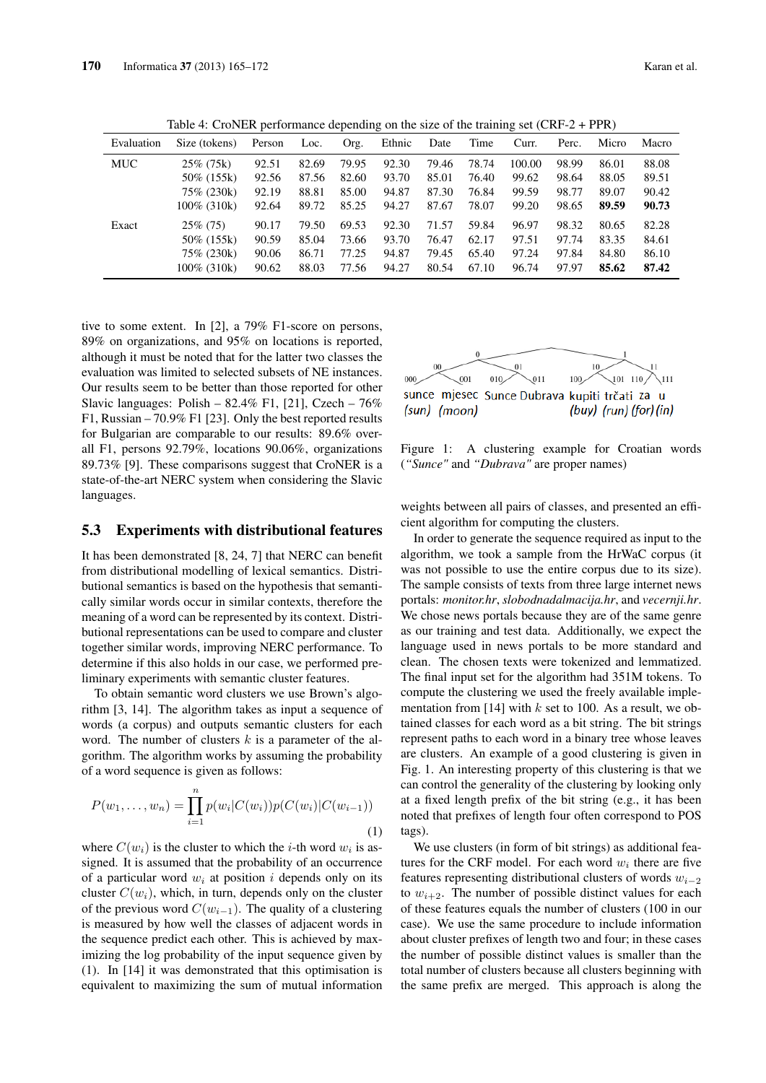| Evaluation | Size (tokens)  | л.<br>Person | Loc.  | Org.  | $\check{ }$<br>Ethnic | Date  | Time  | $\check{ }$<br>Curr. | Perc. | Micro | Macro |
|------------|----------------|--------------|-------|-------|-----------------------|-------|-------|----------------------|-------|-------|-------|
| MUC        | $25\%$ (75k)   | 92.51        | 82.69 | 79.95 | 92.30                 | 79.46 | 78.74 | 100.00               | 98.99 | 86.01 | 88.08 |
|            | 50\% (155k)    | 92.56        | 87.56 | 82.60 | 93.70                 | 85.01 | 76.40 | 99.62                | 98.64 | 88.05 | 89.51 |
|            | 75\% (230k)    | 92.19        | 88.81 | 85.00 | 94.87                 | 87.30 | 76.84 | 99.59                | 98.77 | 89.07 | 90.42 |
|            | 100\% (310k)   | 92.64        | 89.72 | 85.25 | 94.27                 | 87.67 | 78.07 | 99.20                | 98.65 | 89.59 | 90.73 |
| Exact      | $25\%$ (75)    | 90.17        | 79.50 | 69.53 | 92.30                 | 71.57 | 59.84 | 96.97                | 98.32 | 80.65 | 82.28 |
|            | 50\% (155k)    | 90.59        | 85.04 | 73.66 | 93.70                 | 76.47 | 62.17 | 97.51                | 97.74 | 83.35 | 84.61 |
|            | 75\% (230k)    | 90.06        | 86.71 | 77.25 | 94.87                 | 79.45 | 65.40 | 97.24                | 97.84 | 84.80 | 86.10 |
|            | $100\%$ (310k) | 90.62        | 88.03 | 77.56 | 94.27                 | 80.54 | 67.10 | 96.74                | 97.97 | 85.62 | 87.42 |

Table 4: CroNER performance depending on the size of the training set (CRF-2 + PPR)

tive to some extent. In [2], a 79% F1-score on persons, 89% on organizations, and 95% on locations is reported, although it must be noted that for the latter two classes the evaluation was limited to selected subsets of NE instances. Our results seem to be better than those reported for other Slavic languages: Polish –  $82.4\%$  F1, [21], Czech –  $76\%$ F1, Russian – 70.9% F1 [23]. Only the best reported results for Bulgarian are comparable to our results: 89.6% overall F1, persons 92.79%, locations 90.06%, organizations 89.73% [9]. These comparisons suggest that CroNER is a state-of-the-art NERC system when considering the Slavic languages.

#### 5.3 Experiments with distributional features

It has been demonstrated [8, 24, 7] that NERC can benefit from distributional modelling of lexical semantics. Distributional semantics is based on the hypothesis that semantically similar words occur in similar contexts, therefore the meaning of a word can be represented by its context. Distributional representations can be used to compare and cluster together similar words, improving NERC performance. To determine if this also holds in our case, we performed preliminary experiments with semantic cluster features.

To obtain semantic word clusters we use Brown's algorithm [3, 14]. The algorithm takes as input a sequence of words (a corpus) and outputs semantic clusters for each word. The number of clusters  $k$  is a parameter of the algorithm. The algorithm works by assuming the probability of a word sequence is given as follows:

$$
P(w_1, \dots, w_n) = \prod_{i=1}^n p(w_i | C(w_i)) p(C(w_i) | C(w_{i-1}))
$$
\n(1)

where  $C(w_i)$  is the cluster to which the *i*-th word  $w_i$  is assigned. It is assumed that the probability of an occurrence of a particular word  $w_i$  at position i depends only on its cluster  $C(w_i)$ , which, in turn, depends only on the cluster of the previous word  $C(w_{i-1})$ . The quality of a clustering is measured by how well the classes of adjacent words in the sequence predict each other. This is achieved by maximizing the log probability of the input sequence given by (1). In [14] it was demonstrated that this optimisation is equivalent to maximizing the sum of mutual information



Figure 1: A clustering example for Croatian words (*"Sunce"* and *"Dubrava"* are proper names)

weights between all pairs of classes, and presented an efficient algorithm for computing the clusters.

In order to generate the sequence required as input to the algorithm, we took a sample from the HrWaC corpus (it was not possible to use the entire corpus due to its size). The sample consists of texts from three large internet news portals: *monitor.hr*, *slobodnadalmacija.hr*, and *vecernji.hr*. We chose news portals because they are of the same genre as our training and test data. Additionally, we expect the language used in news portals to be more standard and clean. The chosen texts were tokenized and lemmatized. The final input set for the algorithm had 351M tokens. To compute the clustering we used the freely available implementation from [14] with  $k$  set to 100. As a result, we obtained classes for each word as a bit string. The bit strings represent paths to each word in a binary tree whose leaves are clusters. An example of a good clustering is given in Fig. 1. An interesting property of this clustering is that we can control the generality of the clustering by looking only at a fixed length prefix of the bit string (e.g., it has been noted that prefixes of length four often correspond to POS tags).

We use clusters (in form of bit strings) as additional features for the CRF model. For each word  $w_i$  there are five features representing distributional clusters of words  $w_{i-2}$ to  $w_{i+2}$ . The number of possible distinct values for each of these features equals the number of clusters (100 in our case). We use the same procedure to include information about cluster prefixes of length two and four; in these cases the number of possible distinct values is smaller than the total number of clusters because all clusters beginning with the same prefix are merged. This approach is along the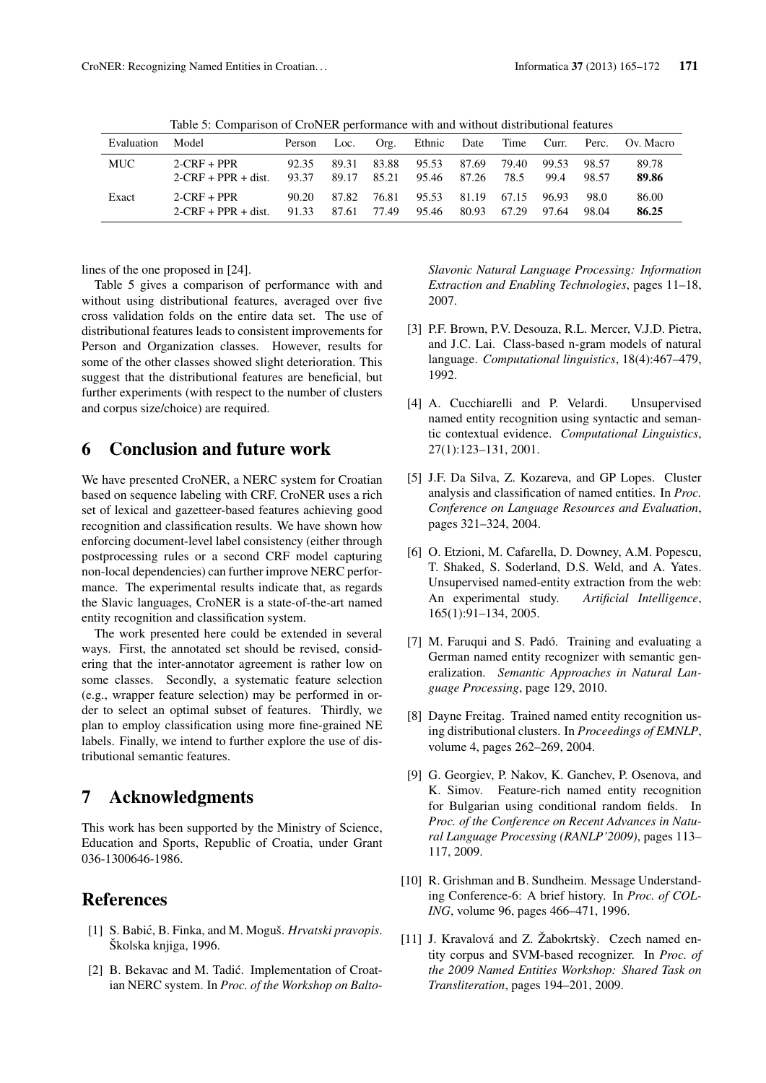|            | Table 5: Companion of CroftErt performance with and while abundant reatures |        |       |       |        |       |       |       |             |           |
|------------|-----------------------------------------------------------------------------|--------|-------|-------|--------|-------|-------|-------|-------------|-----------|
| Evaluation | Model                                                                       | Person | Loc.  | Org.  | Ethnic | Date  | Time  |       | Curr. Perc. | Ov. Macro |
| <b>MUC</b> | $2-CRF + PPR$                                                               | 92.35  | 89.31 | 83.88 | 95.53  | 87.69 | 79.40 | 99.53 | 98.57       | 89.78     |
|            | $2-CRF + PPR + dist.$                                                       | 93.37  | 89.17 | 85.21 | 95.46  | 87.26 | 78.5  | 99.4  | 98.57       | 89.86     |
| Exact      | $2-CRF + PPR$                                                               | 90.20  | 87.82 | 76.81 | 95.53  | 81.19 | 67.15 | 96.93 | 98.0        | 86.00     |
|            | $2-CRF + PPR + dist.$                                                       | 91.33  | 87.61 | 77.49 | 95.46  | 80.93 | 67.29 | 97.64 | 98.04       | 86.25     |

Table 5: Comparison of CroNER performance with and without distributional features

lines of the one proposed in [24].

Table 5 gives a comparison of performance with and without using distributional features, averaged over five cross validation folds on the entire data set. The use of distributional features leads to consistent improvements for Person and Organization classes. However, results for some of the other classes showed slight deterioration. This suggest that the distributional features are beneficial, but further experiments (with respect to the number of clusters and corpus size/choice) are required.

## 6 Conclusion and future work

We have presented CroNER, a NERC system for Croatian based on sequence labeling with CRF. CroNER uses a rich set of lexical and gazetteer-based features achieving good recognition and classification results. We have shown how enforcing document-level label consistency (either through postprocessing rules or a second CRF model capturing non-local dependencies) can further improve NERC performance. The experimental results indicate that, as regards the Slavic languages, CroNER is a state-of-the-art named entity recognition and classification system.

The work presented here could be extended in several ways. First, the annotated set should be revised, considering that the inter-annotator agreement is rather low on some classes. Secondly, a systematic feature selection (e.g., wrapper feature selection) may be performed in order to select an optimal subset of features. Thirdly, we plan to employ classification using more fine-grained NE labels. Finally, we intend to further explore the use of distributional semantic features.

## 7 Acknowledgments

This work has been supported by the Ministry of Science, Education and Sports, Republic of Croatia, under Grant 036-1300646-1986.

## References

- [1] S. Babic, B. Finka, and M. Moguš. ´ *Hrvatski pravopis*. Školska knjiga, 1996.
- [2] B. Bekavac and M. Tadić. Implementation of Croatian NERC system. In *Proc. of the Workshop on Balto-*

*Slavonic Natural Language Processing: Information Extraction and Enabling Technologies*, pages 11–18, 2007.

- [3] P.F. Brown, P.V. Desouza, R.L. Mercer, V.J.D. Pietra, and J.C. Lai. Class-based n-gram models of natural language. *Computational linguistics*, 18(4):467–479, 1992.
- [4] A. Cucchiarelli and P. Velardi. Unsupervised named entity recognition using syntactic and semantic contextual evidence. *Computational Linguistics*, 27(1):123–131, 2001.
- [5] J.F. Da Silva, Z. Kozareva, and GP Lopes. Cluster analysis and classification of named entities. In *Proc. Conference on Language Resources and Evaluation*, pages 321–324, 2004.
- [6] O. Etzioni, M. Cafarella, D. Downey, A.M. Popescu, T. Shaked, S. Soderland, D.S. Weld, and A. Yates. Unsupervised named-entity extraction from the web: An experimental study. *Artificial Intelligence*, 165(1):91–134, 2005.
- [7] M. Faruqui and S. Padó. Training and evaluating a German named entity recognizer with semantic generalization. *Semantic Approaches in Natural Language Processing*, page 129, 2010.
- [8] Dayne Freitag. Trained named entity recognition using distributional clusters. In *Proceedings of EMNLP*, volume 4, pages 262–269, 2004.
- [9] G. Georgiev, P. Nakov, K. Ganchev, P. Osenova, and K. Simov. Feature-rich named entity recognition for Bulgarian using conditional random fields. In *Proc. of the Conference on Recent Advances in Natural Language Processing (RANLP'2009)*, pages 113– 117, 2009.
- [10] R. Grishman and B. Sundheim. Message Understanding Conference-6: A brief history. In *Proc. of COL-ING*, volume 96, pages 466–471, 1996.
- [11] J. Kravalová and Z. Žabokrtský. Czech named entity corpus and SVM-based recognizer. In *Proc. of the 2009 Named Entities Workshop: Shared Task on Transliteration*, pages 194–201, 2009.